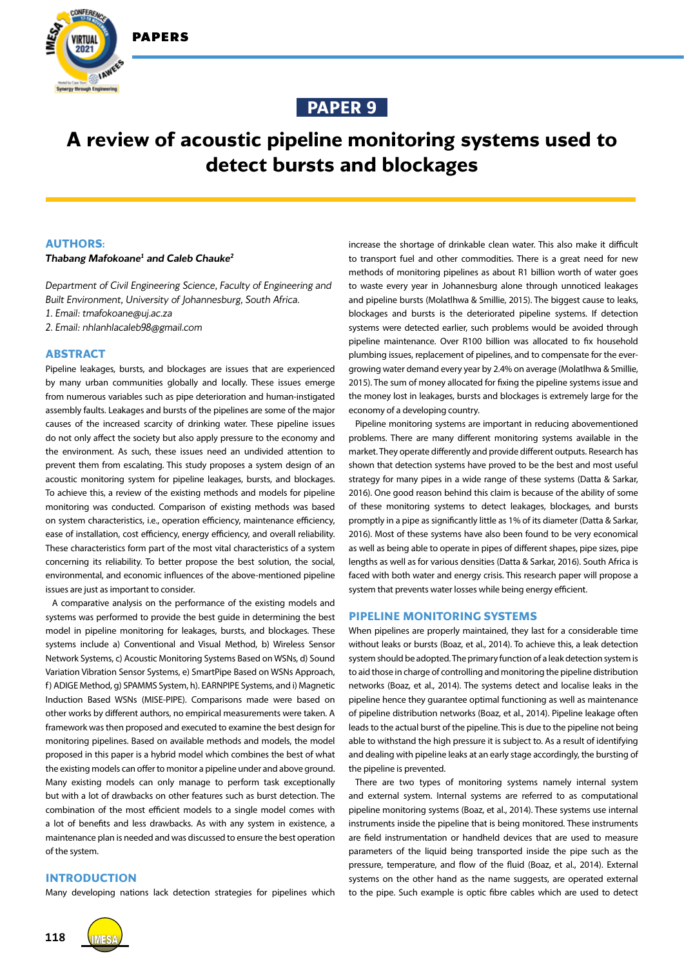

IAWEE



# **A review of acoustic pipeline monitoring systems used to detect bursts and blockages**

## **AUTHORS:**

## *Thabang Mafokoane1 and Caleb Chauke2*

*Department of Civil Engineering Science, Faculty of Engineering and Built Environment, University of Johannesburg, South Africa. 1. Email: tmafokoane@uj.ac.za 2. Email: nhlanhlacaleb98@gmail.com*

# **ABSTRACT**

Pipeline leakages, bursts, and blockages are issues that are experienced by many urban communities globally and locally. These issues emerge from numerous variables such as pipe deterioration and human-instigated assembly faults. Leakages and bursts of the pipelines are some of the major causes of the increased scarcity of drinking water. These pipeline issues do not only affect the society but also apply pressure to the economy and the environment. As such, these issues need an undivided attention to prevent them from escalating. This study proposes a system design of an acoustic monitoring system for pipeline leakages, bursts, and blockages. To achieve this, a review of the existing methods and models for pipeline monitoring was conducted. Comparison of existing methods was based on system characteristics, i.e., operation efficiency, maintenance efficiency, ease of installation, cost efficiency, energy efficiency, and overall reliability. These characteristics form part of the most vital characteristics of a system concerning its reliability. To better propose the best solution, the social, environmental, and economic influences of the above-mentioned pipeline issues are just as important to consider.

A comparative analysis on the performance of the existing models and systems was performed to provide the best guide in determining the best model in pipeline monitoring for leakages, bursts, and blockages. These systems include a) Conventional and Visual Method, b) Wireless Sensor Network Systems, c) Acoustic Monitoring Systems Based on WSNs, d) Sound Variation Vibration Sensor Systems, e) SmartPipe Based on WSNs Approach, f) ADIGE Method, g) SPAMMS System, h). EARNPIPE Systems, and i) Magnetic Induction Based WSNs (MISE-PIPE). Comparisons made were based on other works by different authors, no empirical measurements were taken. A framework was then proposed and executed to examine the best design for monitoring pipelines. Based on available methods and models, the model proposed in this paper is a hybrid model which combines the best of what the existing models can offer to monitor a pipeline under and above ground. Many existing models can only manage to perform task exceptionally but with a lot of drawbacks on other features such as burst detection. The combination of the most efficient models to a single model comes with a lot of benefits and less drawbacks. As with any system in existence, a maintenance plan is needed and was discussed to ensure the best operation of the system.

# **INTRODUCTION**

Many developing nations lack detection strategies for pipelines which

increase the shortage of drinkable clean water. This also make it difficult to transport fuel and other commodities. There is a great need for new methods of monitoring pipelines as about R1 billion worth of water goes to waste every year in Johannesburg alone through unnoticed leakages and pipeline bursts (Molatlhwa & Smillie, 2015). The biggest cause to leaks, blockages and bursts is the deteriorated pipeline systems. If detection systems were detected earlier, such problems would be avoided through pipeline maintenance. Over R100 billion was allocated to fix household plumbing issues, replacement of pipelines, and to compensate for the evergrowing water demand every year by 2.4% on average (Molatlhwa & Smillie, 2015). The sum of money allocated for fixing the pipeline systems issue and the money lost in leakages, bursts and blockages is extremely large for the economy of a developing country.

Pipeline monitoring systems are important in reducing abovementioned problems. There are many different monitoring systems available in the market. They operate differently and provide different outputs. Research has shown that detection systems have proved to be the best and most useful strategy for many pipes in a wide range of these systems (Datta & Sarkar, 2016). One good reason behind this claim is because of the ability of some of these monitoring systems to detect leakages, blockages, and bursts promptly in a pipe as significantly little as 1% of its diameter (Datta & Sarkar, 2016). Most of these systems have also been found to be very economical as well as being able to operate in pipes of different shapes, pipe sizes, pipe lengths as well as for various densities (Datta & Sarkar, 2016). South Africa is faced with both water and energy crisis. This research paper will propose a system that prevents water losses while being energy efficient.

#### **PIPELINE MONITORING SYSTEMS**

When pipelines are properly maintained, they last for a considerable time without leaks or bursts (Boaz, et al., 2014). To achieve this, a leak detection system should be adopted. The primary function of a leak detection system is to aid those in charge of controlling and monitoring the pipeline distribution networks (Boaz, et al., 2014). The systems detect and localise leaks in the pipeline hence they guarantee optimal functioning as well as maintenance of pipeline distribution networks (Boaz, et al., 2014). Pipeline leakage often leads to the actual burst of the pipeline. This is due to the pipeline not being able to withstand the high pressure it is subject to. As a result of identifying and dealing with pipeline leaks at an early stage accordingly, the bursting of the pipeline is prevented.

There are two types of monitoring systems namely internal system and external system. Internal systems are referred to as computational pipeline monitoring systems (Boaz, et al., 2014). These systems use internal instruments inside the pipeline that is being monitored. These instruments are field instrumentation or handheld devices that are used to measure parameters of the liquid being transported inside the pipe such as the pressure, temperature, and flow of the fluid (Boaz, et al., 2014). External systems on the other hand as the name suggests, are operated external to the pipe. Such example is optic fibre cables which are used to detect

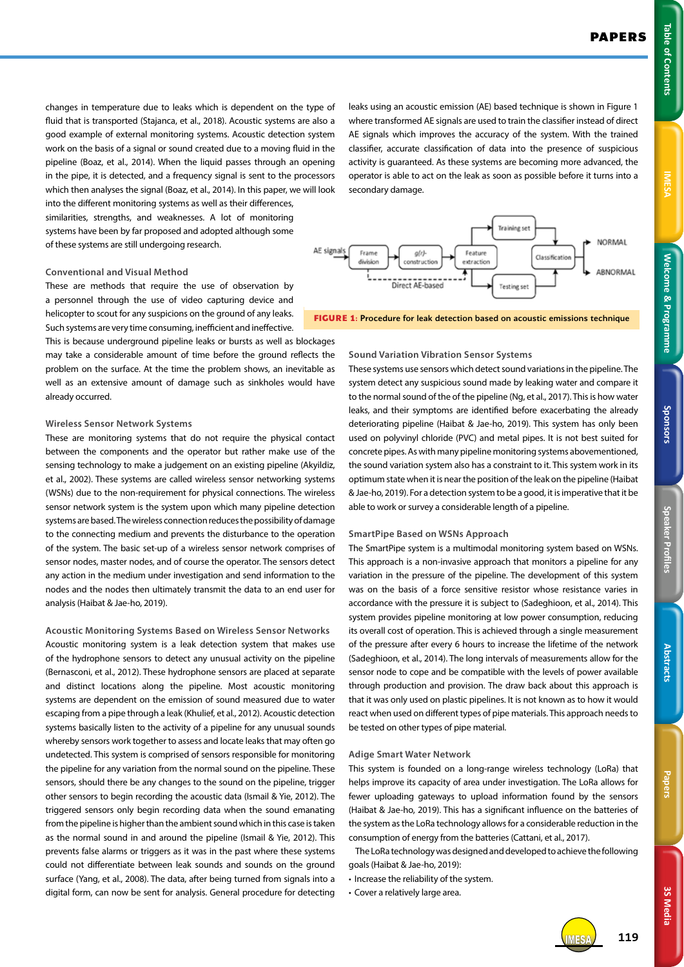**3S Media**

**3S Media** 

changes in temperature due to leaks which is dependent on the type of fluid that is transported (Stajanca, et al., 2018). Acoustic systems are also a good example of external monitoring systems. Acoustic detection system work on the basis of a signal or sound created due to a moving fluid in the pipeline (Boaz, et al., 2014). When the liquid passes through an opening in the pipe, it is detected, and a frequency signal is sent to the processors which then analyses the signal (Boaz, et al., 2014). In this paper, we will look into the different monitoring systems as well as their differences, similarities, strengths, and weaknesses. A lot of monitoring systems have been by far proposed and adopted although some of these systems are still undergoing research.

# **Conventional and Visual Method**

These are methods that require the use of observation by a personnel through the use of video capturing device and helicopter to scout for any suspicions on the ground of any leaks. Such systems are very time consuming, inefficient and ineffective.

This is because underground pipeline leaks or bursts as well as blockages may take a considerable amount of time before the ground reflects the problem on the surface. At the time the problem shows, an inevitable as well as an extensive amount of damage such as sinkholes would have already occurred.

#### **Wireless Sensor Network Systems**

These are monitoring systems that do not require the physical contact between the components and the operator but rather make use of the sensing technology to make a judgement on an existing pipeline (Akyildiz, et al., 2002). These systems are called wireless sensor networking systems (WSNs) due to the non-requirement for physical connections. The wireless sensor network system is the system upon which many pipeline detection systems are based. The wireless connection reduces the possibility of damage to the connecting medium and prevents the disturbance to the operation of the system. The basic set-up of a wireless sensor network comprises of sensor nodes, master nodes, and of course the operator. The sensors detect any action in the medium under investigation and send information to the nodes and the nodes then ultimately transmit the data to an end user for analysis (Haibat & Jae-ho, 2019).

**Acoustic Monitoring Systems Based on Wireless Sensor Networks** Acoustic monitoring system is a leak detection system that makes use of the hydrophone sensors to detect any unusual activity on the pipeline (Bernasconi, et al., 2012). These hydrophone sensors are placed at separate and distinct locations along the pipeline. Most acoustic monitoring systems are dependent on the emission of sound measured due to water escaping from a pipe through a leak (Khulief, et al., 2012). Acoustic detection systems basically listen to the activity of a pipeline for any unusual sounds whereby sensors work together to assess and locate leaks that may often go undetected. This system is comprised of sensors responsible for monitoring the pipeline for any variation from the normal sound on the pipeline. These sensors, should there be any changes to the sound on the pipeline, trigger other sensors to begin recording the acoustic data (Ismail & Yie, 2012). The triggered sensors only begin recording data when the sound emanating from the pipeline is higher than the ambient sound which in this case is taken as the normal sound in and around the pipeline (Ismail & Yie, 2012). This prevents false alarms or triggers as it was in the past where these systems could not differentiate between leak sounds and sounds on the ground surface (Yang, et al., 2008). The data, after being turned from signals into a digital form, can now be sent for analysis. General procedure for detecting

leaks using an acoustic emission (AE) based technique is shown in Figure 1 where transformed AE signals are used to train the classifier instead of direct AE signals which improves the accuracy of the system. With the trained classifier, accurate classification of data into the presence of suspicious activity is guaranteed. As these systems are becoming more advanced, the operator is able to act on the leak as soon as possible before it turns into a secondary damage.



**FIGURE 1:** Procedure for leak detection based on acoustic emissions technique

#### **Sound Variation Vibration Sensor Systems**

These systems use sensors which detect sound variations in the pipeline. The system detect any suspicious sound made by leaking water and compare it to the normal sound of the of the pipeline (Ng, et al., 2017). This is how water leaks, and their symptoms are identified before exacerbating the already deteriorating pipeline (Haibat & Jae-ho, 2019). This system has only been used on polyvinyl chloride (PVC) and metal pipes. It is not best suited for concrete pipes. As with many pipeline monitoring systems abovementioned, the sound variation system also has a constraint to it. This system work in its optimum state when it is near the position of the leak on the pipeline (Haibat & Jae-ho, 2019). For a detection system to be a good, it is imperative that it be able to work or survey a considerable length of a pipeline.

#### **SmartPipe Based on WSNs Approach**

The SmartPipe system is a multimodal monitoring system based on WSNs. This approach is a non-invasive approach that monitors a pipeline for any variation in the pressure of the pipeline. The development of this system was on the basis of a force sensitive resistor whose resistance varies in accordance with the pressure it is subject to (Sadeghioon, et al., 2014). This system provides pipeline monitoring at low power consumption, reducing its overall cost of operation. This is achieved through a single measurement of the pressure after every 6 hours to increase the lifetime of the network (Sadeghioon, et al., 2014). The long intervals of measurements allow for the sensor node to cope and be compatible with the levels of power available through production and provision. The draw back about this approach is that it was only used on plastic pipelines. It is not known as to how it would react when used on different types of pipe materials. This approach needs to be tested on other types of pipe material.

#### **Adige Smart Water Network**

This system is founded on a long-range wireless technology (LoRa) that helps improve its capacity of area under investigation. The LoRa allows for fewer uploading gateways to upload information found by the sensors (Haibat & Jae-ho, 2019). This has a significant influence on the batteries of the system as the LoRa technology allows for a considerable reduction in the consumption of energy from the batteries (Cattani, et al., 2017).

The LoRa technology was designed and developed to achieve the following goals (Haibat & Jae-ho, 2019):

- Increase the reliability of the system.
- Cover a relatively large area.



IMESA **119**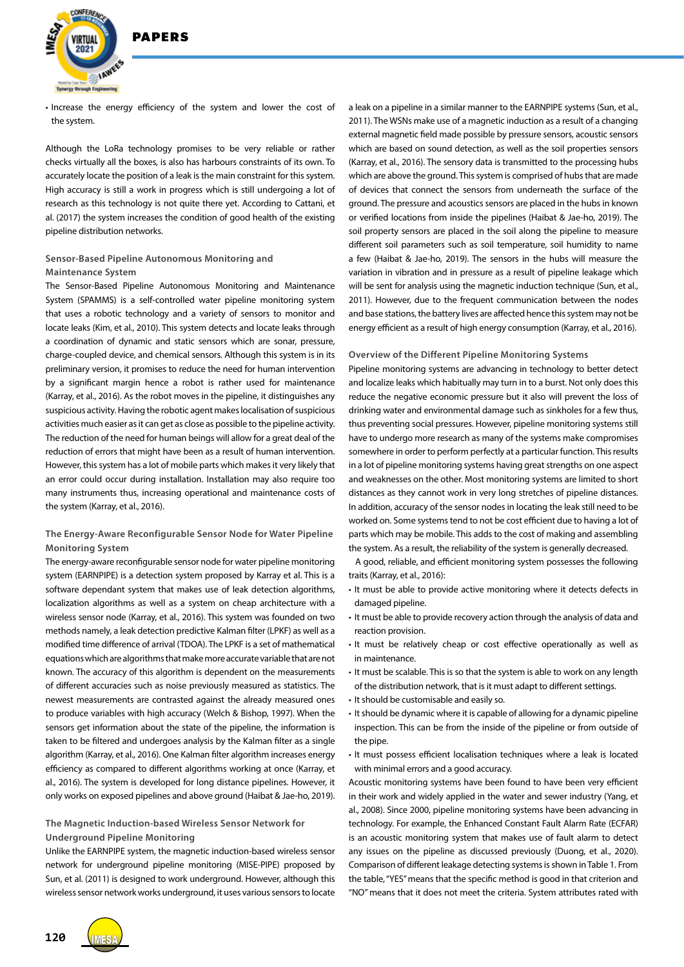

• Increase the energy efficiency of the system and lower the cost of the system.

Although the LoRa technology promises to be very reliable or rather checks virtually all the boxes, is also has harbours constraints of its own. To accurately locate the position of a leak is the main constraint for this system. High accuracy is still a work in progress which is still undergoing a lot of research as this technology is not quite there yet. According to Cattani, et al. (2017) the system increases the condition of good health of the existing pipeline distribution networks.

# **Sensor-Based Pipeline Autonomous Monitoring and Maintenance System**

The Sensor-Based Pipeline Autonomous Monitoring and Maintenance System (SPAMMS) is a self-controlled water pipeline monitoring system that uses a robotic technology and a variety of sensors to monitor and locate leaks (Kim, et al., 2010). This system detects and locate leaks through a coordination of dynamic and static sensors which are sonar, pressure, charge-coupled device, and chemical sensors. Although this system is in its preliminary version, it promises to reduce the need for human intervention by a significant margin hence a robot is rather used for maintenance (Karray, et al., 2016). As the robot moves in the pipeline, it distinguishes any suspicious activity. Having the robotic agent makes localisation of suspicious activities much easier as it can get as close as possible to the pipeline activity. The reduction of the need for human beings will allow for a great deal of the reduction of errors that might have been as a result of human intervention. However, this system has a lot of mobile parts which makes it very likely that an error could occur during installation. Installation may also require too many instruments thus, increasing operational and maintenance costs of the system (Karray, et al., 2016).

# **The Energy-Aware Reconfigurable Sensor Node for Water Pipeline Monitoring System**

The energy-aware reconfigurable sensor node for water pipeline monitoring system (EARNPIPE) is a detection system proposed by Karray et al. This is a software dependant system that makes use of leak detection algorithms, localization algorithms as well as a system on cheap architecture with a wireless sensor node (Karray, et al., 2016). This system was founded on two methods namely, a leak detection predictive Kalman filter (LPKF) as well as a modified time difference of arrival (TDOA). The LPKF is a set of mathematical equations which are algorithms that make more accurate variable that are not known. The accuracy of this algorithm is dependent on the measurements of different accuracies such as noise previously measured as statistics. The newest measurements are contrasted against the already measured ones to produce variables with high accuracy (Welch & Bishop, 1997). When the sensors get information about the state of the pipeline, the information is taken to be filtered and undergoes analysis by the Kalman filter as a single algorithm (Karray, et al., 2016). One Kalman filter algorithm increases energy efficiency as compared to different algorithms working at once (Karray, et al., 2016). The system is developed for long distance pipelines. However, it only works on exposed pipelines and above ground (Haibat & Jae-ho, 2019).

# **The Magnetic Induction-based Wireless Sensor Network for Underground Pipeline Monitoring**

Unlike the EARNPIPE system, the magnetic induction-based wireless sensor network for underground pipeline monitoring (MISE-PIPE) proposed by Sun, et al. (2011) is designed to work underground. However, although this wireless sensor network works underground, it uses various sensors to locate

a leak on a pipeline in a similar manner to the EARNPIPE systems (Sun, et al., 2011). The WSNs make use of a magnetic induction as a result of a changing external magnetic field made possible by pressure sensors, acoustic sensors which are based on sound detection, as well as the soil properties sensors (Karray, et al., 2016). The sensory data is transmitted to the processing hubs which are above the ground. This system is comprised of hubs that are made of devices that connect the sensors from underneath the surface of the ground. The pressure and acoustics sensors are placed in the hubs in known or verified locations from inside the pipelines (Haibat & Jae-ho, 2019). The soil property sensors are placed in the soil along the pipeline to measure different soil parameters such as soil temperature, soil humidity to name a few (Haibat & Jae-ho, 2019). The sensors in the hubs will measure the variation in vibration and in pressure as a result of pipeline leakage which will be sent for analysis using the magnetic induction technique (Sun, et al., 2011). However, due to the frequent communication between the nodes and base stations, the battery lives are affected hence this system may not be energy efficient as a result of high energy consumption (Karray, et al., 2016).

#### **Overview of the Different Pipeline Monitoring Systems**

Pipeline monitoring systems are advancing in technology to better detect and localize leaks which habitually may turn in to a burst. Not only does this reduce the negative economic pressure but it also will prevent the loss of drinking water and environmental damage such as sinkholes for a few thus, thus preventing social pressures. However, pipeline monitoring systems still have to undergo more research as many of the systems make compromises somewhere in order to perform perfectly at a particular function. This results in a lot of pipeline monitoring systems having great strengths on one aspect and weaknesses on the other. Most monitoring systems are limited to short distances as they cannot work in very long stretches of pipeline distances. In addition, accuracy of the sensor nodes in locating the leak still need to be worked on. Some systems tend to not be cost efficient due to having a lot of parts which may be mobile. This adds to the cost of making and assembling the system. As a result, the reliability of the system is generally decreased.

A good, reliable, and efficient monitoring system possesses the following traits (Karray, et al., 2016):

- It must be able to provide active monitoring where it detects defects in damaged pipeline.
- It must be able to provide recovery action through the analysis of data and reaction provision.
- It must be relatively cheap or cost effective operationally as well as in maintenance.
- It must be scalable. This is so that the system is able to work on any length of the distribution network, that is it must adapt to different settings.
- It should be customisable and easily so.
- It should be dynamic where it is capable of allowing for a dynamic pipeline inspection. This can be from the inside of the pipeline or from outside of the pipe.
- It must possess efficient localisation techniques where a leak is located with minimal errors and a good accuracy.

Acoustic monitoring systems have been found to have been very efficient in their work and widely applied in the water and sewer industry (Yang, et al., 2008). Since 2000, pipeline monitoring systems have been advancing in technology. For example, the Enhanced Constant Fault Alarm Rate (ECFAR) is an acoustic monitoring system that makes use of fault alarm to detect any issues on the pipeline as discussed previously (Duong, et al., 2020). Comparison of different leakage detecting systems is shown in Table 1. From the table, "YES" means that the specific method is good in that criterion and "NO" means that it does not meet the criteria. System attributes rated with



**120**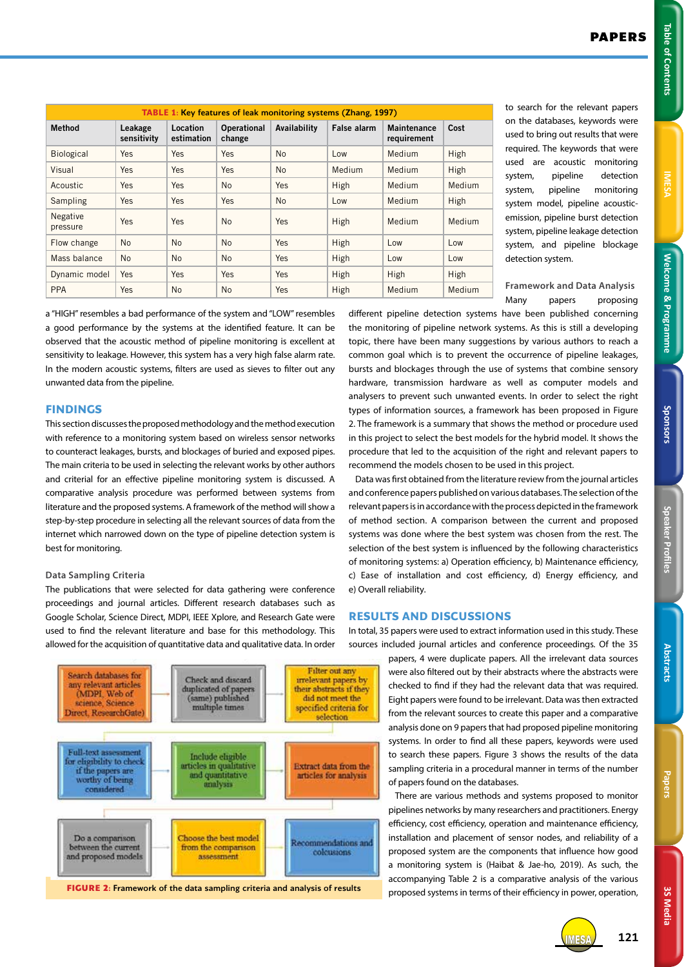**Welcome & Programme Table of Contents IMESA Welcome & Programme** 

Sponsors

3S Media **3S Media**

| <b>TABLE 1: Key features of leak monitoring systems (Zhang, 1997)</b> |                        |                        |                              |              |                    |                                   |        |  |
|-----------------------------------------------------------------------|------------------------|------------------------|------------------------------|--------------|--------------------|-----------------------------------|--------|--|
| <b>Method</b>                                                         | Leakage<br>sensitivity | Location<br>estimation | <b>Operational</b><br>change | Availability | <b>False alarm</b> | <b>Maintenance</b><br>requirement | Cost   |  |
| Biological                                                            | Yes                    | <b>Yes</b>             | Yes                          | <b>No</b>    | Low                | Medium                            | High   |  |
| Visual                                                                | Yes                    | Yes                    | Yes                          | <b>No</b>    | Medium             | Medium                            | High   |  |
| Acoustic                                                              | Yes                    | Yes                    | <b>No</b>                    | Yes          | High               | Medium                            | Medium |  |
| Sampling                                                              | Yes                    | Yes                    | Yes                          | <b>No</b>    | Low                | Medium                            | High   |  |
| <b>Negative</b><br>pressure                                           | Yes                    | Yes                    | N <sub>0</sub>               | Yes          | High               | Medium                            | Medium |  |
| Flow change                                                           | <b>No</b>              | <b>No</b>              | <b>No</b>                    | Yes          | High               | Low                               | Low    |  |
| Mass balance                                                          | <b>No</b>              | <b>No</b>              | <b>No</b>                    | Yes          | High               | Low                               | Low    |  |
| Dynamic model                                                         | Yes                    | Yes                    | Yes                          | Yes          | High               | High                              | High   |  |
| <b>PPA</b>                                                            | Yes                    | N <sub>o</sub>         | <b>No</b>                    | Yes          | High               | <b>Medium</b>                     | Medium |  |

to search for the relevant papers on the databases, keywords were used to bring out results that were required. The keywords that were used are acoustic monitoring system, pipeline detection system, pipeline monitoring system model, pipeline acousticemission, pipeline burst detection system, pipeline leakage detection system, and pipeline blockage detection system.

**Framework and Data Analysis** Many papers proposing

a "HIGH" resembles a bad performance of the system and "LOW" resembles a good performance by the systems at the identified feature. It can be observed that the acoustic method of pipeline monitoring is excellent at sensitivity to leakage. However, this system has a very high false alarm rate. In the modern acoustic systems, filters are used as sieves to filter out any unwanted data from the pipeline.

# **FINDINGS**

This section discusses the proposed methodology and the method execution with reference to a monitoring system based on wireless sensor networks to counteract leakages, bursts, and blockages of buried and exposed pipes. The main criteria to be used in selecting the relevant works by other authors and criterial for an effective pipeline monitoring system is discussed. A comparative analysis procedure was performed between systems from literature and the proposed systems. A framework of the method will show a step-by-step procedure in selecting all the relevant sources of data from the internet which narrowed down on the type of pipeline detection system is best for monitoring.

## **Data Sampling Criteria**

The publications that were selected for data gathering were conference proceedings and journal articles. Different research databases such as Google Scholar, Science Direct, MDPI, IEEE Xplore, and Research Gate were used to find the relevant literature and base for this methodology. This allowed for the acquisition of quantitative data and qualitative data. In order



different pipeline detection systems have been published concerning the monitoring of pipeline network systems. As this is still a developing topic, there have been many suggestions by various authors to reach a common goal which is to prevent the occurrence of pipeline leakages, bursts and blockages through the use of systems that combine sensory hardware, transmission hardware as well as computer models and analysers to prevent such unwanted events. In order to select the right types of information sources, a framework has been proposed in Figure 2. The framework is a summary that shows the method or procedure used in this project to select the best models for the hybrid model. It shows the procedure that led to the acquisition of the right and relevant papers to recommend the models chosen to be used in this project.

Data was first obtained from the literature review from the journal articles and conference papers published on various databases. The selection of the relevant papers is in accordance with the process depicted in the framework of method section. A comparison between the current and proposed systems was done where the best system was chosen from the rest. The selection of the best system is influenced by the following characteristics of monitoring systems: a) Operation efficiency, b) Maintenance efficiency, c) Ease of installation and cost efficiency, d) Energy efficiency, and e) Overall reliability.

## **RESULTS AND DISCUSSIONS**

In total, 35 papers were used to extract information used in this study. These sources included journal articles and conference proceedings. Of the 35

> papers, 4 were duplicate papers. All the irrelevant data sources were also filtered out by their abstracts where the abstracts were checked to find if they had the relevant data that was required. Eight papers were found to be irrelevant. Data was then extracted from the relevant sources to create this paper and a comparative analysis done on 9 papers that had proposed pipeline monitoring systems. In order to find all these papers, keywords were used to search these papers. Figure 3 shows the results of the data sampling criteria in a procedural manner in terms of the number of papers found on the databases.

> There are various methods and systems proposed to monitor pipelines networks by many researchers and practitioners. Energy efficiency, cost efficiency, operation and maintenance efficiency, installation and placement of sensor nodes, and reliability of a proposed system are the components that influence how good a monitoring system is (Haibat & Jae-ho, 2019). As such, the accompanying Table 2 is a comparative analysis of the various proposed systems in terms of their efficiency in power, operation,



IMESA **121**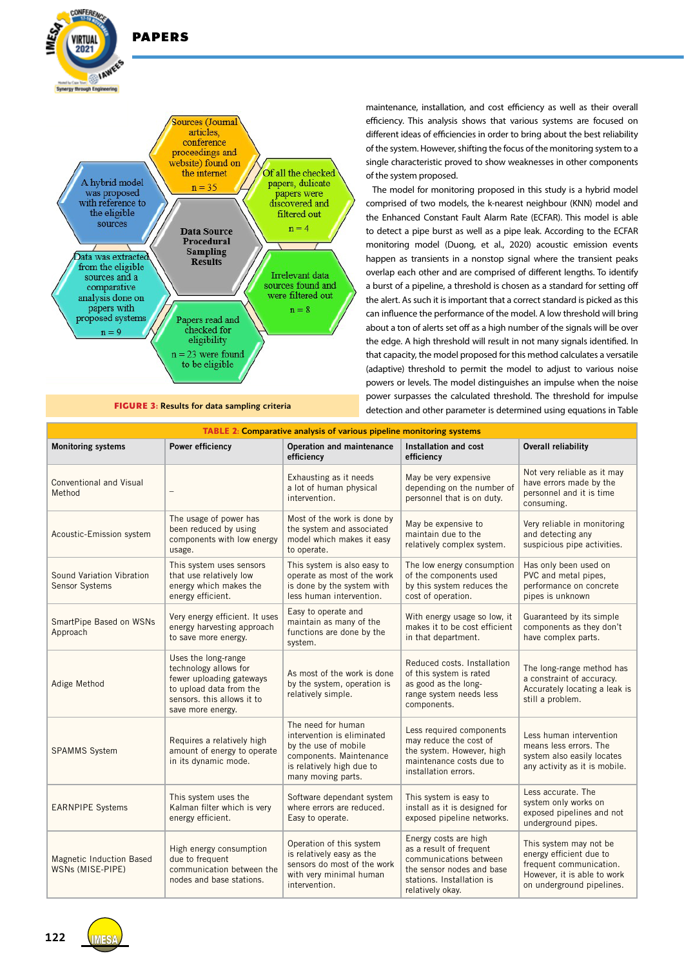

PAPERS

**CONFERENC** 

**/IRTIIAI**  $2021$ 

maintenance, installation, and cost efficiency as well as their overall efficiency. This analysis shows that various systems are focused on different ideas of efficiencies in order to bring about the best reliability of the system. However, shifting the focus of the monitoring system to a single characteristic proved to show weaknesses in other components of the system proposed.

The model for monitoring proposed in this study is a hybrid model comprised of two models, the k-nearest neighbour (KNN) model and the Enhanced Constant Fault Alarm Rate (ECFAR). This model is able to detect a pipe burst as well as a pipe leak. According to the ECFAR monitoring model (Duong, et al., 2020) acoustic emission events happen as transients in a nonstop signal where the transient peaks overlap each other and are comprised of different lengths. To identify a burst of a pipeline, a threshold is chosen as a standard for setting off the alert. As such it is important that a correct standard is picked as this can influence the performance of the model. A low threshold will bring about a ton of alerts set off as a high number of the signals will be over the edge. A high threshold will result in not many signals identified. In that capacity, the model proposed for this method calculates a versatile (adaptive) threshold to permit the model to adjust to various noise powers or levels. The model distinguishes an impulse when the noise power surpasses the calculated threshold. The threshold for impulse **FIGURE 3: Results for data sampling criteria** detection and other parameter is determined using equations in Table

| <b>TABLE 2: Comparative analysis of various pipeline monitoring systems</b> |                                                                                                                                                        |                                                                                                                                                        |                                                                                                                                                          |                                                                                                                                          |  |  |  |  |
|-----------------------------------------------------------------------------|--------------------------------------------------------------------------------------------------------------------------------------------------------|--------------------------------------------------------------------------------------------------------------------------------------------------------|----------------------------------------------------------------------------------------------------------------------------------------------------------|------------------------------------------------------------------------------------------------------------------------------------------|--|--|--|--|
| <b>Monitoring systems</b>                                                   | <b>Power efficiency</b>                                                                                                                                | Operation and maintenance<br>efficiency                                                                                                                | Installation and cost<br>efficiency                                                                                                                      | <b>Overall reliability</b>                                                                                                               |  |  |  |  |
| Conventional and Visual<br>Method                                           |                                                                                                                                                        | Exhausting as it needs<br>a lot of human physical<br>intervention.                                                                                     | May be very expensive<br>depending on the number of<br>personnel that is on duty.                                                                        | Not very reliable as it may<br>have errors made by the<br>personnel and it is time<br>consuming.                                         |  |  |  |  |
| Acoustic-Emission system                                                    | The usage of power has<br>been reduced by using<br>components with low energy<br>usage.                                                                | Most of the work is done by<br>the system and associated<br>model which makes it easy<br>to operate.                                                   | May be expensive to<br>maintain due to the<br>relatively complex system.                                                                                 | Very reliable in monitoring<br>and detecting any<br>suspicious pipe activities.                                                          |  |  |  |  |
| Sound Variation Vibration<br>Sensor Systems                                 | This system uses sensors<br>that use relatively low<br>energy which makes the<br>energy efficient.                                                     | This system is also easy to<br>operate as most of the work<br>is done by the system with<br>less human intervention.                                   | The low energy consumption<br>of the components used<br>by this system reduces the<br>cost of operation.                                                 | Has only been used on<br>PVC and metal pipes,<br>performance on concrete<br>pipes is unknown                                             |  |  |  |  |
| SmartPipe Based on WSNs<br>Approach                                         | Very energy efficient. It uses<br>energy harvesting approach<br>to save more energy.                                                                   | Easy to operate and<br>maintain as many of the<br>functions are done by the<br>system.                                                                 | With energy usage so low, it<br>makes it to be cost efficient<br>in that department.                                                                     | Guaranteed by its simple<br>components as they don't<br>have complex parts.                                                              |  |  |  |  |
| Adige Method                                                                | Uses the long-range<br>technology allows for<br>fewer uploading gateways<br>to upload data from the<br>sensors, this allows it to<br>save more energy. | As most of the work is done<br>by the system, operation is<br>relatively simple.                                                                       | Reduced costs. Installation<br>of this system is rated<br>as good as the long-<br>range system needs less<br>components.                                 | The long-range method has<br>a constraint of accuracy.<br>Accurately locating a leak is<br>still a problem.                              |  |  |  |  |
| <b>SPAMMS System</b>                                                        | Requires a relatively high<br>amount of energy to operate<br>in its dynamic mode.                                                                      | The need for human<br>intervention is eliminated<br>by the use of mobile<br>components. Maintenance<br>is relatively high due to<br>many moving parts. | Less required components<br>may reduce the cost of<br>the system. However, high<br>maintenance costs due to<br>installation errors.                      | Less human intervention<br>means less errors. The<br>system also easily locates<br>any activity as it is mobile.                         |  |  |  |  |
| <b>EARNPIPE Systems</b>                                                     | This system uses the<br>Kalman filter which is very<br>energy efficient.                                                                               | Software dependant system<br>where errors are reduced.<br>Easy to operate.                                                                             | This system is easy to<br>install as it is designed for<br>exposed pipeline networks.                                                                    | Less accurate. The<br>system only works on<br>exposed pipelines and not<br>underground pipes.                                            |  |  |  |  |
| Magnetic Induction Based<br>WSNs (MISE-PIPE)                                | High energy consumption<br>due to frequent<br>communication between the<br>nodes and base stations.                                                    | Operation of this system<br>is relatively easy as the<br>sensors do most of the work<br>with very minimal human<br>intervention.                       | Energy costs are high<br>as a result of frequent<br>communications between<br>the sensor nodes and base<br>stations. Installation is<br>relatively okay. | This system may not be<br>energy efficient due to<br>frequent communication.<br>However, it is able to work<br>on underground pipelines. |  |  |  |  |

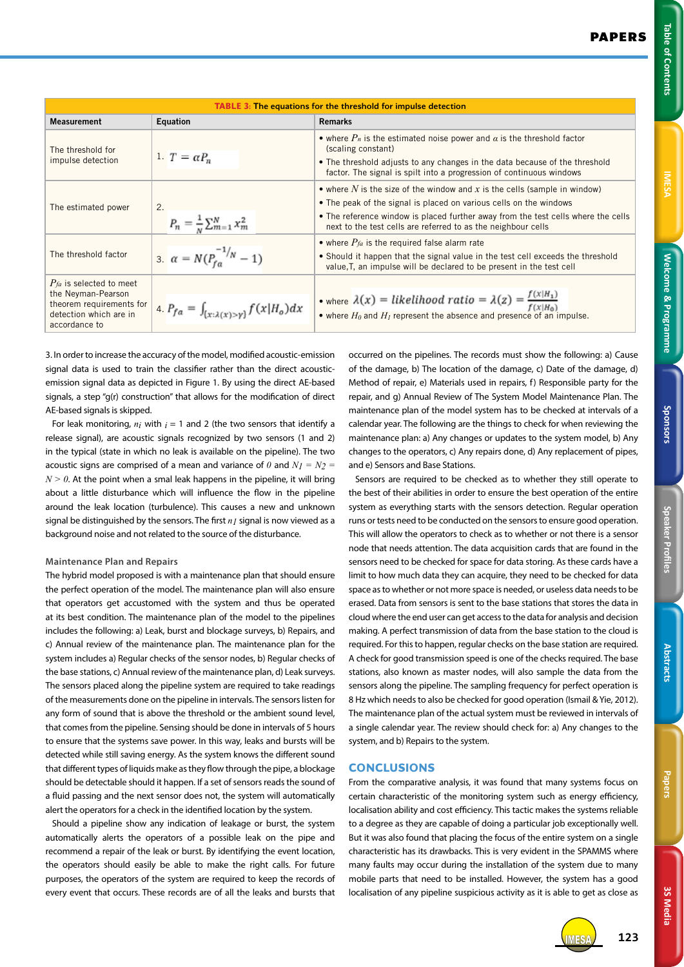**Table of Contents** 

3S Media **3S Media**

| <b>TABLE 3: The equations for the threshold for impulse detection</b>                                                     |                                                      |                                                                                                                                                                                                                                                                                                       |  |  |  |  |
|---------------------------------------------------------------------------------------------------------------------------|------------------------------------------------------|-------------------------------------------------------------------------------------------------------------------------------------------------------------------------------------------------------------------------------------------------------------------------------------------------------|--|--|--|--|
| <b>Measurement</b>                                                                                                        | Equation                                             | <b>Remarks</b>                                                                                                                                                                                                                                                                                        |  |  |  |  |
| The threshold for<br>impulse detection                                                                                    | 1. $T = \alpha P_n$                                  | • where $P_n$ is the estimated noise power and $\alpha$ is the threshold factor<br>(scaling constant)<br>• The threshold adjusts to any changes in the data because of the threshold<br>factor. The signal is spilt into a progression of continuous windows                                          |  |  |  |  |
| The estimated power                                                                                                       | 2.<br>$P_n = \frac{1}{N} \sum_{m=1}^{N} x_m^2$       | • where N is the size of the window and x is the cells (sample in window)<br>• The peak of the signal is placed on various cells on the windows<br>• The reference window is placed further away from the test cells where the cells<br>next to the test cells are referred to as the neighbour cells |  |  |  |  |
| The threshold factor                                                                                                      | $\alpha = N(P_{fa}^{-1/n} - 1)$                      | • where $P_{fa}$ is the required false alarm rate<br>• Should it happen that the signal value in the test cell exceeds the threshold<br>value, T, an impulse will be declared to be present in the test cell                                                                                          |  |  |  |  |
| $P_{fa}$ is selected to meet<br>the Neyman-Pearson<br>theorem requirements for<br>detection which are in<br>accordance to | $A_{a} P_{fa} = \int_{[x:\lambda(x)>y]} f(x H_o) dx$ | • where $\lambda(x) = likelihood ratio = \lambda(z) = \frac{I(x n_1)}{f(x n_0)}$<br>• where $H_0$ and $H_1$ represent the absence and presence of an impulse.                                                                                                                                         |  |  |  |  |

3. In order to increase the accuracy of the model, modified acoustic-emission signal data is used to train the classifier rather than the direct acousticemission signal data as depicted in Figure 1. By using the direct AE-based signals, a step "g(r) construction" that allows for the modification of direct AE-based signals is skipped.

For leak monitoring,  $n_i$  with  $i = 1$  and 2 (the two sensors that identify a release signal), are acoustic signals recognized by two sensors (1 and 2) in the typical (state in which no leak is available on the pipeline). The two acoustic signs are comprised of a mean and variance of  $\theta$  and  $N_I = N_2 =$  $N > 0$ . At the point when a smal leak happens in the pipeline, it will bring about a little disturbance which will influence the flow in the pipeline around the leak location (turbulence). This causes a new and unknown signal be distinguished by the sensors. The first *n1* signal is now viewed as a background noise and not related to the source of the disturbance.

## **Maintenance Plan and Repairs**

The hybrid model proposed is with a maintenance plan that should ensure the perfect operation of the model. The maintenance plan will also ensure that operators get accustomed with the system and thus be operated at its best condition. The maintenance plan of the model to the pipelines includes the following: a) Leak, burst and blockage surveys, b) Repairs, and c) Annual review of the maintenance plan. The maintenance plan for the system includes a) Regular checks of the sensor nodes, b) Regular checks of the base stations, c) Annual review of the maintenance plan, d) Leak surveys. The sensors placed along the pipeline system are required to take readings of the measurements done on the pipeline in intervals. The sensors listen for any form of sound that is above the threshold or the ambient sound level, that comes from the pipeline. Sensing should be done in intervals of 5 hours to ensure that the systems save power. In this way, leaks and bursts will be detected while still saving energy. As the system knows the different sound that different types of liquids make as they flow through the pipe, a blockage should be detectable should it happen. If a set of sensors reads the sound of a fluid passing and the next sensor does not, the system will automatically alert the operators for a check in the identified location by the system.

Should a pipeline show any indication of leakage or burst, the system automatically alerts the operators of a possible leak on the pipe and recommend a repair of the leak or burst. By identifying the event location, the operators should easily be able to make the right calls. For future purposes, the operators of the system are required to keep the records of every event that occurs. These records are of all the leaks and bursts that occurred on the pipelines. The records must show the following: a) Cause of the damage, b) The location of the damage, c) Date of the damage, d) Method of repair, e) Materials used in repairs, f) Responsible party for the repair, and g) Annual Review of The System Model Maintenance Plan. The maintenance plan of the model system has to be checked at intervals of a calendar year. The following are the things to check for when reviewing the maintenance plan: a) Any changes or updates to the system model, b) Any changes to the operators, c) Any repairs done, d) Any replacement of pipes, and e) Sensors and Base Stations.

Sensors are required to be checked as to whether they still operate to the best of their abilities in order to ensure the best operation of the entire system as everything starts with the sensors detection. Regular operation runs or tests need to be conducted on the sensors to ensure good operation. This will allow the operators to check as to whether or not there is a sensor node that needs attention. The data acquisition cards that are found in the sensors need to be checked for space for data storing. As these cards have a limit to how much data they can acquire, they need to be checked for data space as to whether or not more space is needed, or useless data needs to be erased. Data from sensors is sent to the base stations that stores the data in cloud where the end user can get access to the data for analysis and decision making. A perfect transmission of data from the base station to the cloud is required. For this to happen, regular checks on the base station are required. A check for good transmission speed is one of the checks required. The base stations, also known as master nodes, will also sample the data from the sensors along the pipeline. The sampling frequency for perfect operation is 8 Hz which needs to also be checked for good operation (Ismail & Yie, 2012). The maintenance plan of the actual system must be reviewed in intervals of a single calendar year. The review should check for: a) Any changes to the system, and b) Repairs to the system.

# **CONCLUSIONS**

From the comparative analysis, it was found that many systems focus on certain characteristic of the monitoring system such as energy efficiency, localisation ability and cost efficiency. This tactic makes the systems reliable to a degree as they are capable of doing a particular job exceptionally well. But it was also found that placing the focus of the entire system on a single characteristic has its drawbacks. This is very evident in the SPAMMS where many faults may occur during the installation of the system due to many mobile parts that need to be installed. However, the system has a good localisation of any pipeline suspicious activity as it is able to get as close as



IMESA **123**